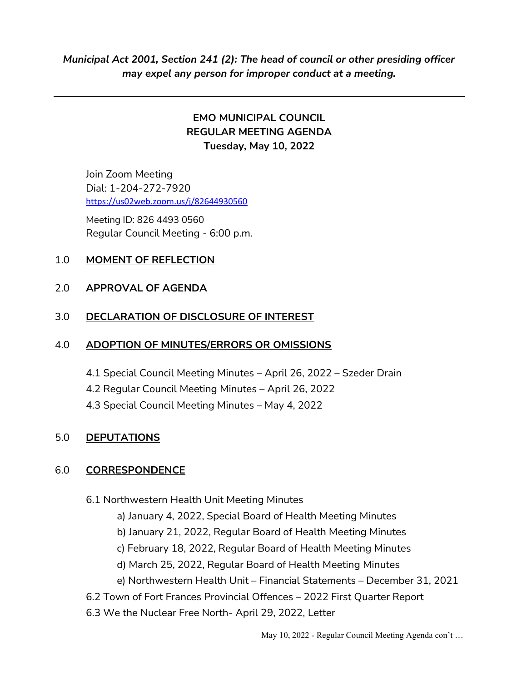# EMO MUNICIPAL COUNCIL REGULAR MEETING AGENDA Tuesday, May 10, 2022

Join Zoom Meeting Dial: 1-204-272-7920 https://us02web.zoom.us/j/82644930560

 Meeting ID: 826 4493 0560 Regular Council Meeting - 6:00 p.m.

# 1.0 MOMENT OF REFLECTION

#### 2.0 APPROVAL OF AGENDA

### 3.0 DECLARATION OF DISCLOSURE OF INTEREST

#### 4.0 ADOPTION OF MINUTES/ERRORS OR OMISSIONS

- 4.1 Special Council Meeting Minutes April 26, 2022 Szeder Drain
- 4.2 Regular Council Meeting Minutes April 26, 2022
- 4.3 Special Council Meeting Minutes May 4, 2022

# 5.0 DEPUTATIONS

# 6.0 CORRESPONDENCE

- 6.1 Northwestern Health Unit Meeting Minutes
	- a) January 4, 2022, Special Board of Health Meeting Minutes
	- b) January 21, 2022, Regular Board of Health Meeting Minutes
	- c) February 18, 2022, Regular Board of Health Meeting Minutes
	- d) March 25, 2022, Regular Board of Health Meeting Minutes
	- e) Northwestern Health Unit Financial Statements December 31, 2021
- 6.2 Town of Fort Frances Provincial Offences 2022 First Quarter Report
- 6.3 We the Nuclear Free North- April 29, 2022, Letter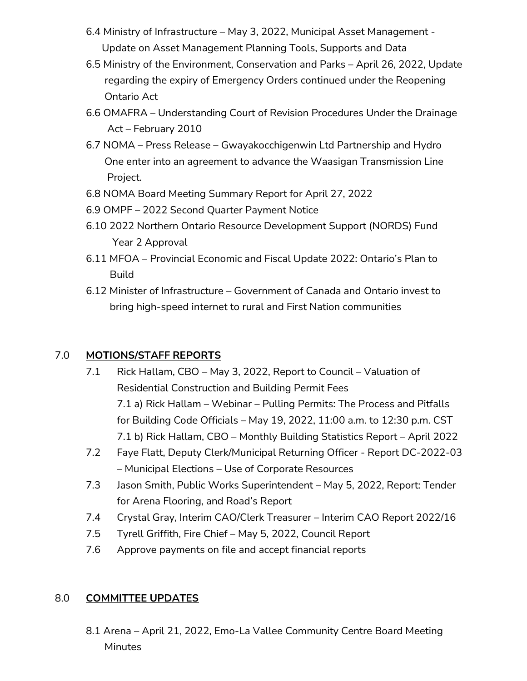- 6.4 Ministry of Infrastructure May 3, 2022, Municipal Asset Management Update on Asset Management Planning Tools, Supports and Data
- 6.5 Ministry of the Environment, Conservation and Parks April 26, 2022, Update regarding the expiry of Emergency Orders continued under the Reopening Ontario Act
- 6.6 OMAFRA Understanding Court of Revision Procedures Under the Drainage Act – February 2010
- 6.7 NOMA Press Release Gwayakocchigenwin Ltd Partnership and Hydro One enter into an agreement to advance the Waasigan Transmission Line Project.
- 6.8 NOMA Board Meeting Summary Report for April 27, 2022
- 6.9 OMPF 2022 Second Quarter Payment Notice
- 6.10 2022 Northern Ontario Resource Development Support (NORDS) Fund Year 2 Approval
- 6.11 MFOA Provincial Economic and Fiscal Update 2022: Ontario's Plan to Build
- 6.12 Minister of Infrastructure Government of Canada and Ontario invest to bring high-speed internet to rural and First Nation communities

# 7.0 MOTIONS/STAFF REPORTS

- 7.1 Rick Hallam, CBO May 3, 2022, Report to Council Valuation of Residential Construction and Building Permit Fees 7.1 a) Rick Hallam – Webinar – Pulling Permits: The Process and Pitfalls for Building Code Officials – May 19, 2022, 11:00 a.m. to 12:30 p.m. CST 7.1 b) Rick Hallam, CBO – Monthly Building Statistics Report – April 2022
- 7.2 Faye Flatt, Deputy Clerk/Municipal Returning Officer Report DC-2022-03 – Municipal Elections – Use of Corporate Resources
- 7.3 Jason Smith, Public Works Superintendent May 5, 2022, Report: Tender for Arena Flooring, and Road's Report
- 7.4 Crystal Gray, Interim CAO/Clerk Treasurer Interim CAO Report 2022/16
- 7.5 Tyrell Griffith, Fire Chief May 5, 2022, Council Report
- 7.6 Approve payments on file and accept financial reports

# 8.0 COMMITTEE UPDATES

8.1 Arena – April 21, 2022, Emo-La Vallee Community Centre Board Meeting Minutes